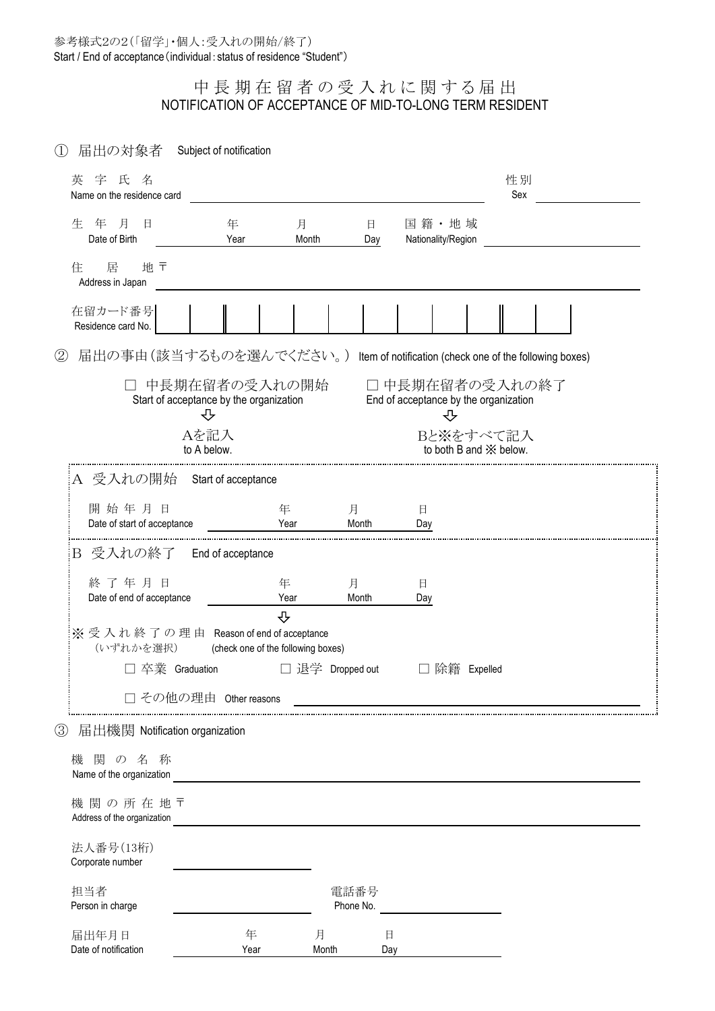## 中長期在留者の受入れに関する届出 NOTIFICATION OF ACCEPTANCE OF MID-TO-LONG TERM RESIDENT

① 届出の対象者 Subject of notification

| 英字氏名<br>Name on the residence card                 |                                                               |                  |                    |                                                                                                                                                                                                                                      | 性別<br>Sex                                               |  |
|----------------------------------------------------|---------------------------------------------------------------|------------------|--------------------|--------------------------------------------------------------------------------------------------------------------------------------------------------------------------------------------------------------------------------------|---------------------------------------------------------|--|
| 年 月<br>生<br>日<br>Date of Birth                     | 年<br>Year                                                     | 月<br>Month       | 日<br>Day           | 国籍·地域<br>Nationality/Region                                                                                                                                                                                                          |                                                         |  |
| 居<br>地〒<br>住<br>Address in Japan                   |                                                               |                  |                    |                                                                                                                                                                                                                                      |                                                         |  |
| 在留カード番号<br>Residence card No.                      |                                                               |                  |                    |                                                                                                                                                                                                                                      |                                                         |  |
| 2<br>届出の事由(該当するものを選んでください。)                        |                                                               |                  |                    |                                                                                                                                                                                                                                      | Item of notification (check one of the following boxes) |  |
|                                                    | 中長期在留者の受入れの開始<br>Start of acceptance by the organization<br>⇩ |                  |                    | □ 中長期在留者の受入れの終了<br>End of acceptance by the organization<br>⇩                                                                                                                                                                        |                                                         |  |
|                                                    | Aを記入<br>to A below.                                           |                  |                    | Bと※をすべて記入<br>to both B and $\mathbb{\times}$ below.                                                                                                                                                                                  |                                                         |  |
| A 受入れの開始 Start of acceptance                       |                                                               |                  |                    |                                                                                                                                                                                                                                      |                                                         |  |
| 開始年月日<br>Date of start of acceptance               |                                                               | 年<br>Year        | 月<br>Month         | $\Box$<br>Day                                                                                                                                                                                                                        |                                                         |  |
| 受入れの終了 – End of acceptance<br>Β                    |                                                               |                  |                    |                                                                                                                                                                                                                                      |                                                         |  |
| 終了年月日<br>Date of end of acceptance                 |                                                               | 年<br>Year<br>⇩   | 月<br>Month         | 日<br>Day                                                                                                                                                                                                                             |                                                         |  |
| ※受入れ終了の理由 Reason of end of acceptance<br>(いずれかを選択) | (check one of the following boxes)                            |                  |                    |                                                                                                                                                                                                                                      |                                                         |  |
| □ 卒業 Graduation                                    |                                                               | □ 退学 Dropped out |                    | 除籍 Expelled                                                                                                                                                                                                                          |                                                         |  |
|                                                    | その他の理由 Other reasons                                          |                  |                    |                                                                                                                                                                                                                                      |                                                         |  |
| ③<br>届出機関 Notification organization                |                                                               |                  |                    |                                                                                                                                                                                                                                      |                                                         |  |
| 機 関 の 名 称<br>Name of the organization              |                                                               |                  |                    |                                                                                                                                                                                                                                      |                                                         |  |
| 機関の所在地〒<br>Address of the organization             |                                                               |                  |                    |                                                                                                                                                                                                                                      |                                                         |  |
| 法人番号(13桁)<br>Corporate number                      |                                                               |                  |                    |                                                                                                                                                                                                                                      |                                                         |  |
| 担当者<br>Person in charge                            |                                                               |                  | 電話番号<br>Phone No.  | <u>and the company of the company of the company of the company of the company of the company of the company of the company of the company of the company of the company of the company of the company of the company of the com</u> |                                                         |  |
| 届出年月日<br>Date of notification                      | 年<br>Year                                                     | 月<br>Month       | $\boxminus$<br>Day |                                                                                                                                                                                                                                      |                                                         |  |